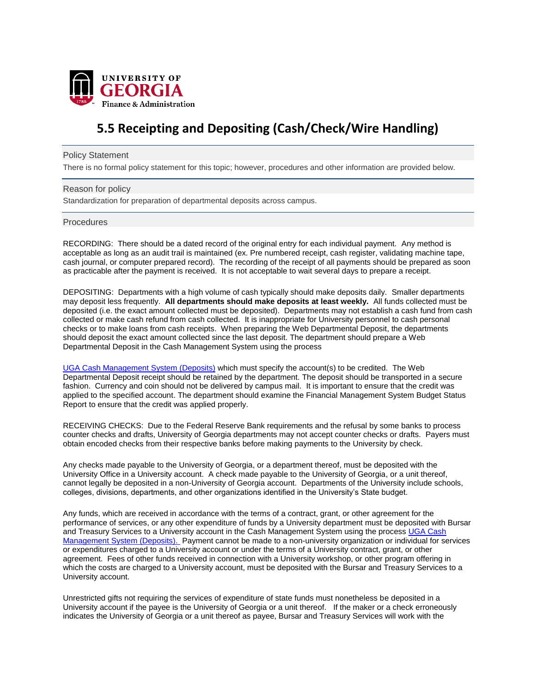

# **5.5 Receipting and Depositing (Cash/Check/Wire Handling)**

### Policy Statement

There is no formal policy statement for this topic; however, procedures and other information are provided below.

## Reason for policy

Standardization for preparation of departmental deposits across campus.

### Procedures

RECORDING: There should be a dated record of the original entry for each individual payment. Any method is acceptable as long as an audit trail is maintained (ex. Pre numbered receipt, cash register, validating machine tape, cash journal, or computer prepared record). The recording of the receipt of all payments should be prepared as soon as practicable after the payment is received. It is not acceptable to wait several days to prepare a receipt.

DEPOSITING: Departments with a high volume of cash typically should make deposits daily. Smaller departments may deposit less frequently. **All departments should make deposits at least weekly.** All funds collected must be deposited (i.e. the exact amount collected must be deposited). Departments may not establish a cash fund from cash collected or make cash refund from cash collected. It is inappropriate for University personnel to cash personal checks or to make loans from cash receipts. When preparing the Web Departmental Deposit, the departments should deposit the exact amount collected since the last deposit. The department should prepare a Web Departmental Deposit in the Cash Management System using the process

[UGA Cash Management System \(Deposits\)](https://training.onesource.uga.edu/UPK_Training/OneSourceOL/Publishing%20Content/PlayerPackage/data/toc.html) which must specify the account(s) to be credited. The Web Departmental Deposit receipt should be retained by the department. The deposit should be transported in a secure fashion. Currency and coin should not be delivered by campus mail. It is important to ensure that the credit was applied to the specified account. The department should examine the Financial Management System Budget Status Report to ensure that the credit was applied properly.

RECEIVING CHECKS: Due to the Federal Reserve Bank requirements and the refusal by some banks to process counter checks and drafts, University of Georgia departments may not accept counter checks or drafts. Payers must obtain encoded checks from their respective banks before making payments to the University by check.

Any checks made payable to the University of Georgia, or a department thereof, must be deposited with the University Office in a University account. A check made payable to the University of Georgia, or a unit thereof, cannot legally be deposited in a non-University of Georgia account. Departments of the University include schools, colleges, divisions, departments, and other organizations identified in the University's State budget.

Any funds, which are received in accordance with the terms of a contract, grant, or other agreement for the performance of services, or any other expenditure of funds by a University department must be deposited with Bursar and Treasury Services to a University account in the Cash Management System using the proces[s UGA Cash](https://training.onesource.uga.edu/UPK_Training/OneSourceOL/Publishing%20Content/PlayerPackage/data/toc.html)  [Management System \(Deposits\).](https://training.onesource.uga.edu/UPK_Training/OneSourceOL/Publishing%20Content/PlayerPackage/data/toc.html) Payment cannot be made to a non-university organization or individual for services or expenditures charged to a University account or under the terms of a University contract, grant, or other agreement. Fees of other funds received in connection with a University workshop, or other program offering in which the costs are charged to a University account, must be deposited with the Bursar and Treasury Services to a University account.

Unrestricted gifts not requiring the services of expenditure of state funds must nonetheless be deposited in a University account if the payee is the University of Georgia or a unit thereof. If the maker or a check erroneously indicates the University of Georgia or a unit thereof as payee, Bursar and Treasury Services will work with the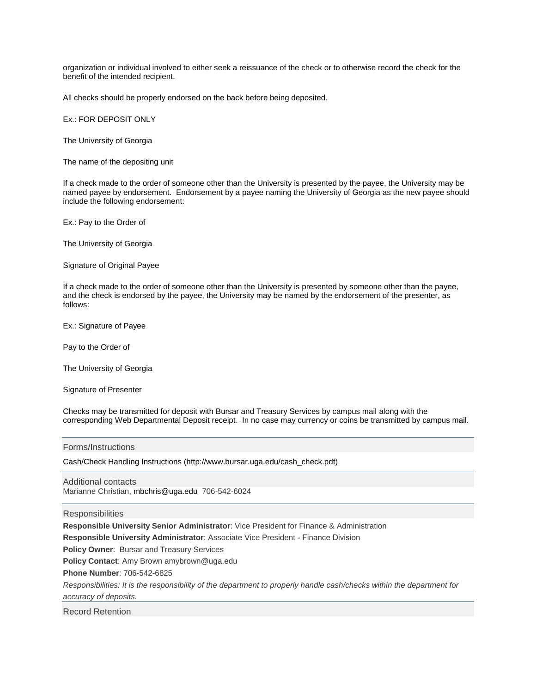organization or individual involved to either seek a reissuance of the check or to otherwise record the check for the benefit of the intended recipient.

All checks should be properly endorsed on the back before being deposited.

#### Ex.: FOR DEPOSIT ONLY

The University of Georgia

The name of the depositing unit

If a check made to the order of someone other than the University is presented by the payee, the University may be named payee by endorsement. Endorsement by a payee naming the University of Georgia as the new payee should include the following endorsement:

Ex.: Pay to the Order of

The University of Georgia

Signature of Original Payee

If a check made to the order of someone other than the University is presented by someone other than the payee, and the check is endorsed by the payee, the University may be named by the endorsement of the presenter, as follows:

Ex.: Signature of Payee

Pay to the Order of

The University of Georgia

Signature of Presenter

Checks may be transmitted for deposit with Bursar and Treasury Services by campus mail along with the corresponding Web Departmental Deposit receipt. In no case may currency or coins be transmitted by campus mail.

Forms/Instructions

Cash/Check Handling Instructions (http://www.bursar.uga.edu/cash\_check.pdf)

Additional contacts Marianne Christian, [mbchris@uga.edu](mailto:mbchris@uga.edu) 706-542-6024

#### **Responsibilities**

**Responsible University Senior Administrator**: Vice President for Finance & Administration

**Responsible University Administrator**: Associate Vice President - Finance Division

**Policy Owner**: Bursar and Treasury Services

**Policy Contact**: Amy Brown amybrown@uga.edu

**Phone Number**: 706-542-6825

*Responsibilities: It is the responsibility of the department to properly handle cash/checks within the department for accuracy of deposits.*

Record Retention